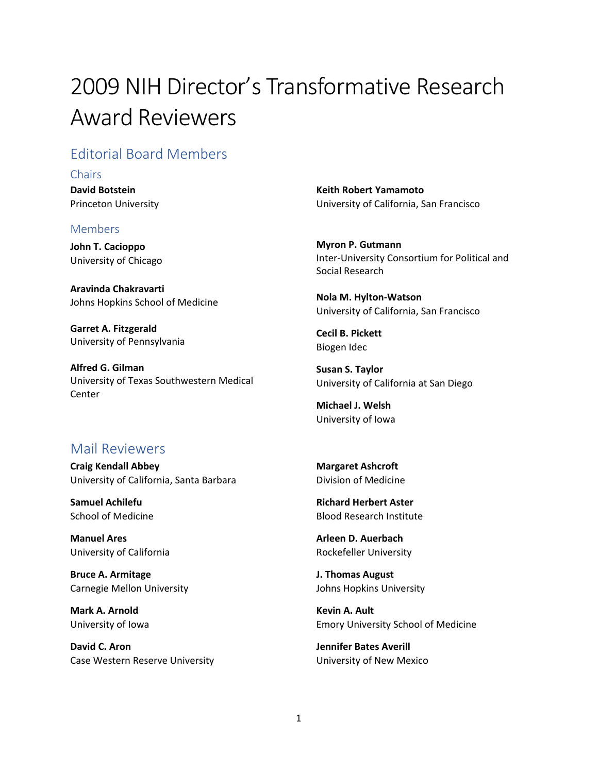# 2009 NIH Director's Transformative Research Award Reviewers

# Editorial Board Members

#### **Chairs**

**David Botstein** Princeton University

#### Members

**John T. Cacioppo** University of Chicago

**Aravinda Chakravarti** Johns Hopkins School of Medicine

**Garret A. Fitzgerald** University of Pennsylvania

**Alfred G. Gilman** University of Texas Southwestern Medical Center

### **Keith Robert Yamamoto** University of California, San Francisco

**Myron P. Gutmann** Inter-University Consortium for Political and Social Research

**Nola M. Hylton-Watson** University of California, San Francisco

**Cecil B. Pickett** Biogen Idec

**Susan S. Taylor** University of California at San Diego

**Michael J. Welsh** University of Iowa

## Mail Reviewers

**Craig Kendall Abbey** University of California, Santa Barbara

**Samuel Achilefu** School of Medicine

**Manuel Ares** University of California

**Bruce A. Armitage** Carnegie Mellon University

**Mark A. Arnold** University of Iowa

**David C. Aron** Case Western Reserve University **Margaret Ashcroft** Division of Medicine

**Richard Herbert Aster** Blood Research Institute

**Arleen D. Auerbach** Rockefeller University

**J. Thomas August** Johns Hopkins University

**Kevin A. Ault** Emory University School of Medicine

**Jennifer Bates Averill** University of New Mexico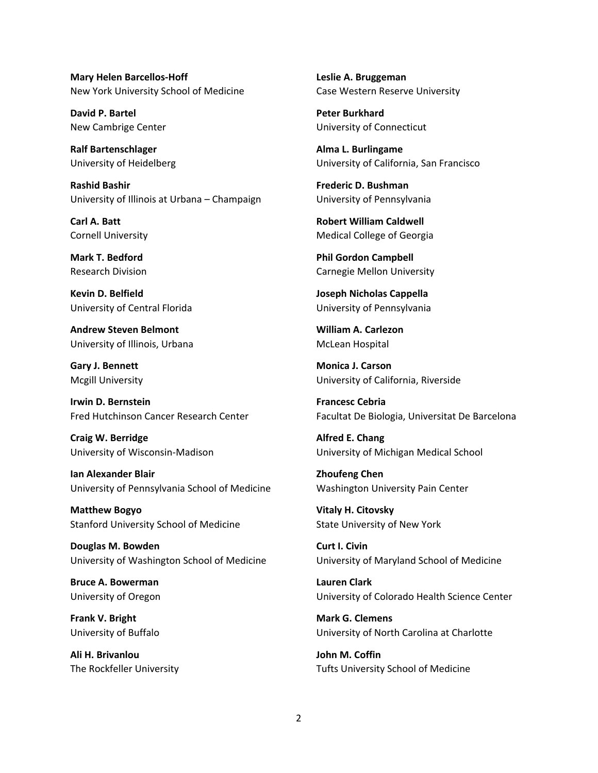**Mary Helen Barcellos-Hoff** New York University School of Medicine

**David P. Bartel** New Cambrige Center

**Ralf Bartenschlager** University of Heidelberg

**Rashid Bashir** University of Illinois at Urbana – Champaign

**Carl A. Batt** Cornell University

**Mark T. Bedford** Research Division

**Kevin D. Belfield** University of Central Florida

**Andrew Steven Belmont** University of Illinois, Urbana

**Gary J. Bennett** Mcgill University

**Irwin D. Bernstein** Fred Hutchinson Cancer Research Center

**Craig W. Berridge** University of Wisconsin-Madison

**Ian Alexander Blair** University of Pennsylvania School of Medicine

**Matthew Bogyo** Stanford University School of Medicine

**Douglas M. Bowden** University of Washington School of Medicine

**Bruce A. Bowerman** University of Oregon

**Frank V. Bright** University of Buffalo

**Ali H. Brivanlou** The Rockfeller University **Leslie A. Bruggeman** Case Western Reserve University

**Peter Burkhard** University of Connecticut

**Alma L. Burlingame** University of California, San Francisco

**Frederic D. Bushman** University of Pennsylvania

**Robert William Caldwell** Medical College of Georgia

**Phil Gordon Campbell** Carnegie Mellon University

**Joseph Nicholas Cappella** University of Pennsylvania

**William A. Carlezon** McLean Hospital

**Monica J. Carson** University of California, Riverside

**Francesc Cebria** Facultat De Biologia, Universitat De Barcelona

**Alfred E. Chang** University of Michigan Medical School

**Zhoufeng Chen** Washington University Pain Center

**Vitaly H. Citovsky** State University of New York

**Curt I. Civin** University of Maryland School of Medicine

**Lauren Clark** University of Colorado Health Science Center

**Mark G. Clemens** University of North Carolina at Charlotte

**John M. Coffin** Tufts University School of Medicine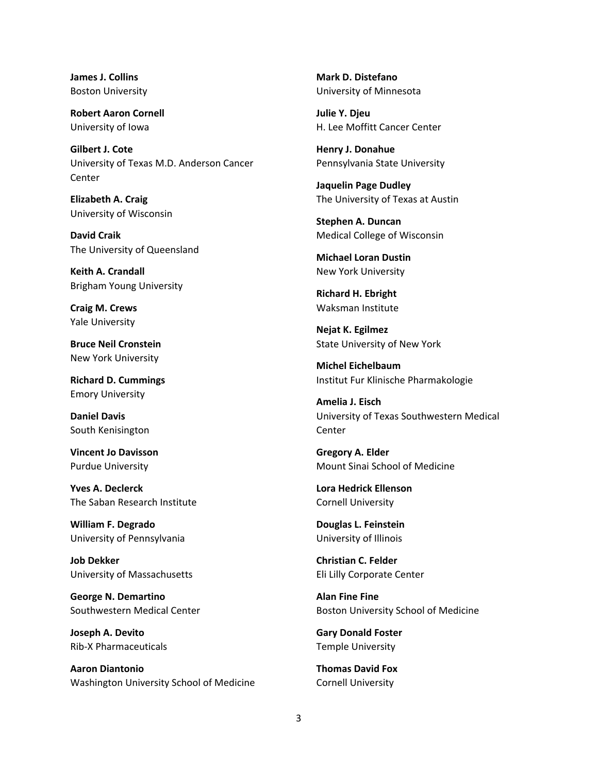**James J. Collins** Boston University

**Robert Aaron Cornell** University of Iowa

**Gilbert J. Cote** University of Texas M.D. Anderson Cancer Center

**Elizabeth A. Craig** University of Wisconsin

**David Craik** The University of Queensland

**Keith A. Crandall** Brigham Young University

**Craig M. Crews** Yale University

**Bruce Neil Cronstein** New York University

**Richard D. Cummings** Emory University

**Daniel Davis** South Kenisington

**Vincent Jo Davisson** Purdue University

**Yves A. Declerck** The Saban Research Institute

**William F. Degrado** University of Pennsylvania

**Job Dekker** University of Massachusetts

**George N. Demartino** Southwestern Medical Center

**Joseph A. Devito** Rib-X Pharmaceuticals

**Aaron Diantonio** Washington University School of Medicine **Mark D. Distefano** University of Minnesota

**Julie Y. Djeu** H. Lee Moffitt Cancer Center

**Henry J. Donahue** Pennsylvania State University

**Jaquelin Page Dudley** The University of Texas at Austin

**Stephen A. Duncan** Medical College of Wisconsin

**Michael Loran Dustin** New York University

**Richard H. Ebright** Waksman Institute

**Nejat K. Egilmez** State University of New York

**Michel Eichelbaum** Institut Fur Klinische Pharmakologie

**Amelia J. Eisch** University of Texas Southwestern Medical Center

**Gregory A. Elder** Mount Sinai School of Medicine

**Lora Hedrick Ellenson** Cornell University

**Douglas L. Feinstein** University of Illinois

**Christian C. Felder** Eli Lilly Corporate Center

**Alan Fine Fine** Boston University School of Medicine

**Gary Donald Foster** Temple University

**Thomas David Fox** Cornell University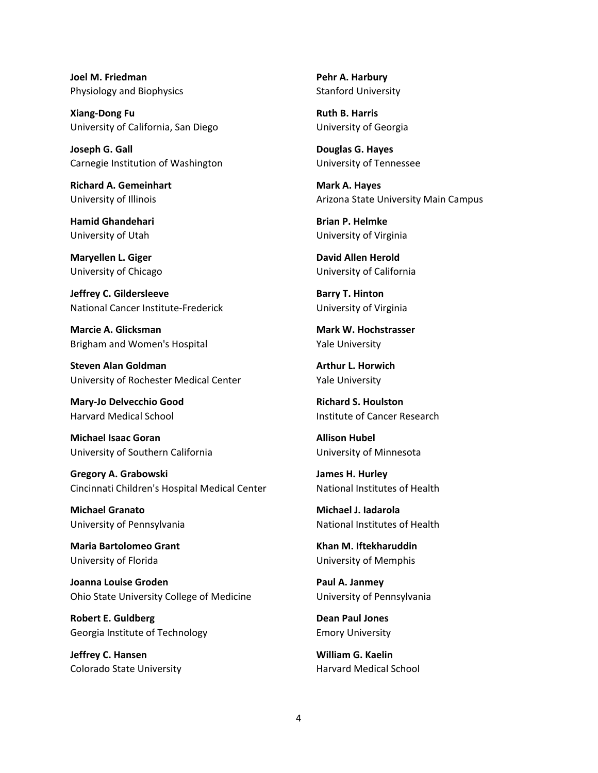**Joel M. Friedman** Physiology and Biophysics

**Xiang-Dong Fu** University of California, San Diego

**Joseph G. Gall** Carnegie Institution of Washington

**Richard A. Gemeinhart** University of Illinois

**Hamid Ghandehari** University of Utah

**Maryellen L. Giger** University of Chicago

**Jeffrey C. Gildersleeve** National Cancer Institute-Frederick

**Marcie A. Glicksman** Brigham and Women's Hospital

**Steven Alan Goldman** University of Rochester Medical Center

**Mary-Jo Delvecchio Good** Harvard Medical School

**Michael Isaac Goran** University of Southern California

**Gregory A. Grabowski** Cincinnati Children's Hospital Medical Center

**Michael Granato** University of Pennsylvania

**Maria Bartolomeo Grant** University of Florida

**Joanna Louise Groden** Ohio State University College of Medicine

**Robert E. Guldberg** Georgia Institute of Technology

**Jeffrey C. Hansen** Colorado State University

**Pehr A. Harbury** Stanford University

**Ruth B. Harris** University of Georgia

**Douglas G. Hayes** University of Tennessee

**Mark A. Hayes** Arizona State University Main Campus

**Brian P. Helmke** University of Virginia

**David Allen Herold** University of California

**Barry T. Hinton** University of Virginia

**Mark W. Hochstrasser** Yale University

**Arthur L. Horwich** Yale University

**Richard S. Houlston** Institute of Cancer Research

**Allison Hubel** University of Minnesota

**James H. Hurley** National Institutes of Health

**Michael J. Iadarola** National Institutes of Health

**Khan M. Iftekharuddin** University of Memphis

**Paul A. Janmey** University of Pennsylvania

**Dean Paul Jones** Emory University

**William G. Kaelin** Harvard Medical School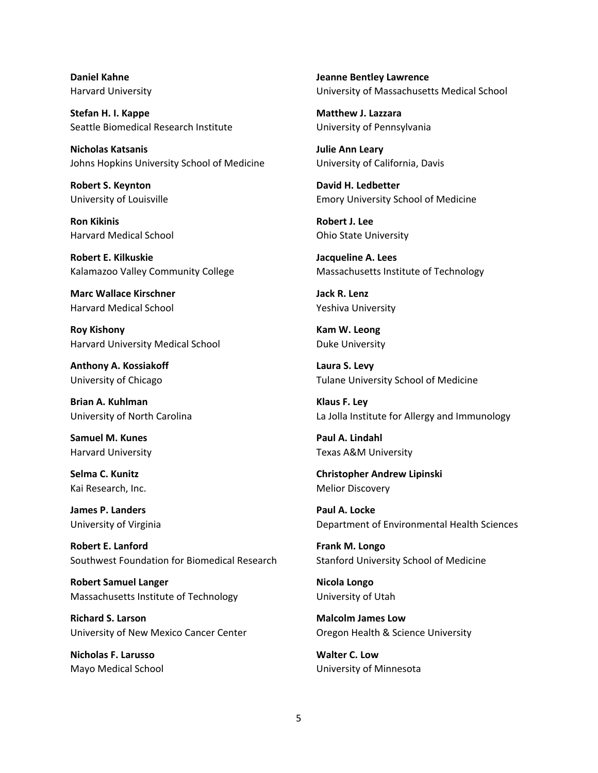**Daniel Kahne** Harvard University

**Stefan H. I. Kappe** Seattle Biomedical Research Institute

**Nicholas Katsanis** Johns Hopkins University School of Medicine

**Robert S. Keynton** University of Louisville

**Ron Kikinis** Harvard Medical School

**Robert E. Kilkuskie** Kalamazoo Valley Community College

**Marc Wallace Kirschner** Harvard Medical School

**Roy Kishony** Harvard University Medical School

**Anthony A. Kossiakoff** University of Chicago

**Brian A. Kuhlman** University of North Carolina

**Samuel M. Kunes** Harvard University

**Selma C. Kunitz** Kai Research, Inc.

**James P. Landers** University of Virginia

**Robert E. Lanford** Southwest Foundation for Biomedical Research

**Robert Samuel Langer** Massachusetts Institute of Technology

**Richard S. Larson** University of New Mexico Cancer Center

**Nicholas F. Larusso** Mayo Medical School **Jeanne Bentley Lawrence** University of Massachusetts Medical School

**Matthew J. Lazzara** University of Pennsylvania

**Julie Ann Leary** University of California, Davis

**David H. Ledbetter** Emory University School of Medicine

**Robert J. Lee** Ohio State University

**Jacqueline A. Lees** Massachusetts Institute of Technology

**Jack R. Lenz** Yeshiva University

**Kam W. Leong** Duke University

**Laura S. Levy** Tulane University School of Medicine

**Klaus F. Ley** La Jolla Institute for Allergy and Immunology

**Paul A. Lindahl** Texas A&M University

**Christopher Andrew Lipinski** Melior Discovery

**Paul A. Locke** Department of Environmental Health Sciences

**Frank M. Longo** Stanford University School of Medicine

**Nicola Longo** University of Utah

**Malcolm James Low** Oregon Health & Science University

**Walter C. Low** University of Minnesota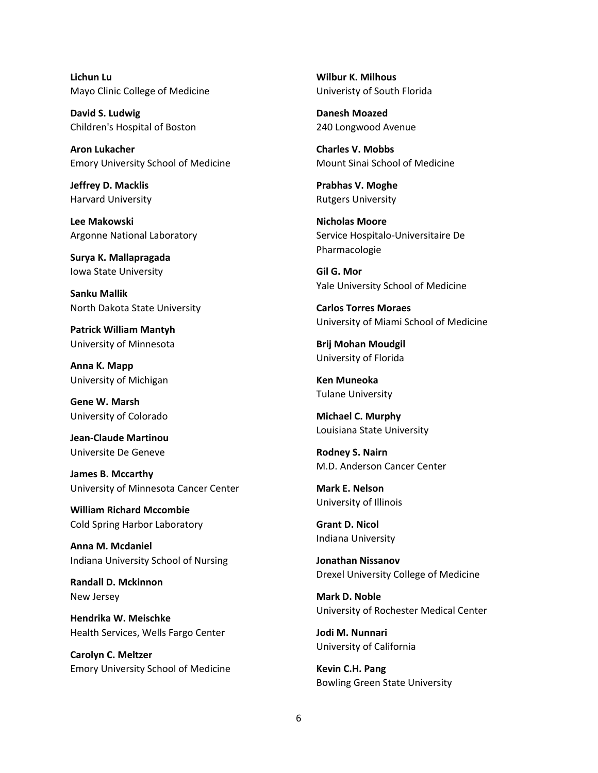**Lichun Lu** Mayo Clinic College of Medicine

**David S. Ludwig** Children's Hospital of Boston

**Aron Lukacher** Emory University School of Medicine

**Jeffrey D. Macklis** Harvard University

**Lee Makowski** Argonne National Laboratory

**Surya K. Mallapragada** Iowa State University

**Sanku Mallik** North Dakota State University

**Patrick William Mantyh** University of Minnesota

**Anna K. Mapp** University of Michigan

**Gene W. Marsh** University of Colorado

**Jean-Claude Martinou** Universite De Geneve

**James B. Mccarthy** University of Minnesota Cancer Center

**William Richard Mccombie** Cold Spring Harbor Laboratory

**Anna M. Mcdaniel** Indiana University School of Nursing

**Randall D. Mckinnon** New Jersey

**Hendrika W. Meischke** Health Services, Wells Fargo Center

**Carolyn C. Meltzer** Emory University School of Medicine **Wilbur K. Milhous** Univeristy of South Florida

**Danesh Moazed** 240 Longwood Avenue

**Charles V. Mobbs** Mount Sinai School of Medicine

**Prabhas V. Moghe** Rutgers University

**Nicholas Moore** Service Hospitalo-Universitaire De Pharmacologie

**Gil G. Mor** Yale University School of Medicine

**Carlos Torres Moraes** University of Miami School of Medicine

**Brij Mohan Moudgil** University of Florida

**Ken Muneoka** Tulane University

**Michael C. Murphy** Louisiana State University

**Rodney S. Nairn** M.D. Anderson Cancer Center

**Mark E. Nelson** University of Illinois

**Grant D. Nicol** Indiana University

**Jonathan Nissanov** Drexel University College of Medicine

**Mark D. Noble** University of Rochester Medical Center

**Jodi M. Nunnari** University of California

**Kevin C.H. Pang** Bowling Green State University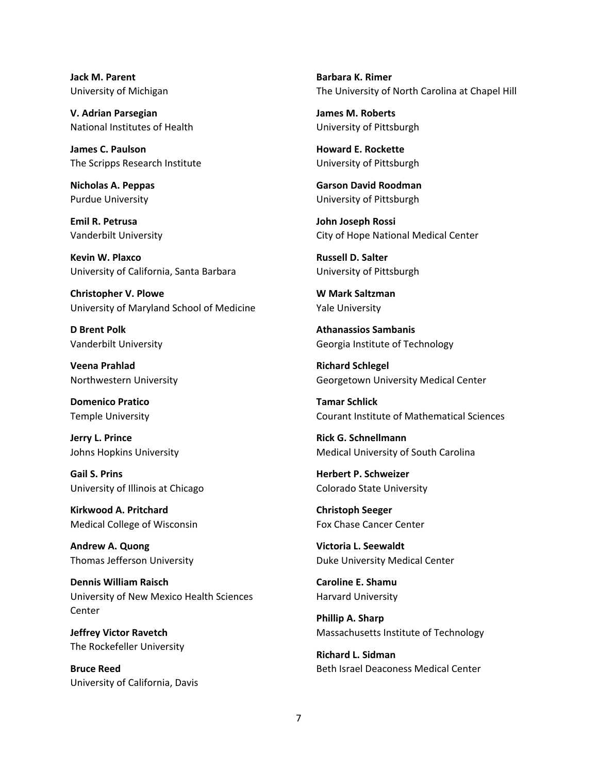**Jack M. Parent** University of Michigan

**V. Adrian Parsegian** National Institutes of Health

**James C. Paulson** The Scripps Research Institute

**Nicholas A. Peppas** Purdue University

**Emil R. Petrusa** Vanderbilt University

**Kevin W. Plaxco** University of California, Santa Barbara

**Christopher V. Plowe** University of Maryland School of Medicine

**D Brent Polk** Vanderbilt University

**Veena Prahlad** Northwestern University

**Domenico Pratico** Temple University

**Jerry L. Prince** Johns Hopkins University

**Gail S. Prins** University of Illinois at Chicago

**Kirkwood A. Pritchard** Medical College of Wisconsin

**Andrew A. Quong** Thomas Jefferson University

**Dennis William Raisch** University of New Mexico Health Sciences **Center** 

**Jeffrey Victor Ravetch** The Rockefeller University

**Bruce Reed** University of California, Davis

**Barbara K. Rimer** The University of North Carolina at Chapel Hill

**James M. Roberts** University of Pittsburgh

**Howard E. Rockette** University of Pittsburgh

**Garson David Roodman** University of Pittsburgh

**John Joseph Rossi** City of Hope National Medical Center

**Russell D. Salter** University of Pittsburgh

**W Mark Saltzman** Yale University

**Athanassios Sambanis** Georgia Institute of Technology

**Richard Schlegel** Georgetown University Medical Center

**Tamar Schlick** Courant Institute of Mathematical Sciences

**Rick G. Schnellmann** Medical University of South Carolina

**Herbert P. Schweizer** Colorado State University

**Christoph Seeger** Fox Chase Cancer Center

**Victoria L. Seewaldt** Duke University Medical Center

**Caroline E. Shamu** Harvard University

**Phillip A. Sharp** Massachusetts Institute of Technology

**Richard L. Sidman** Beth Israel Deaconess Medical Center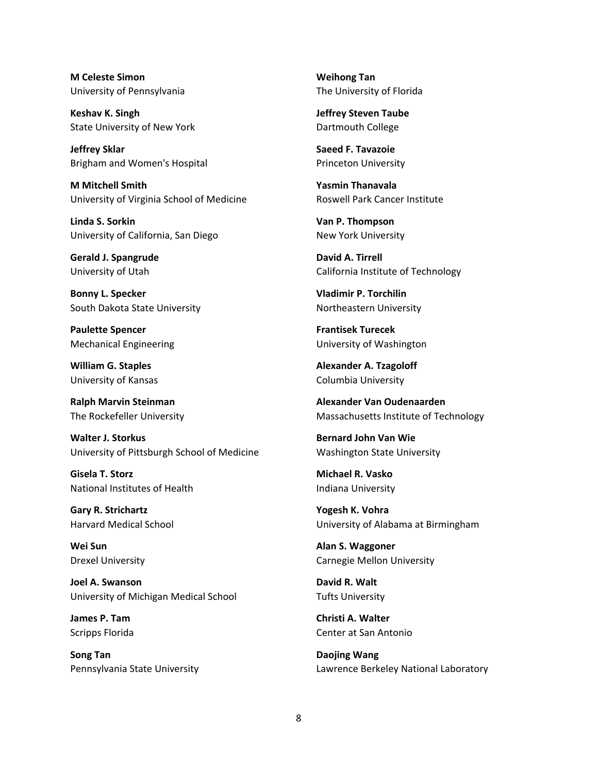**M Celeste Simon** University of Pennsylvania

**Keshav K. Singh** State University of New York

**Jeffrey Sklar** Brigham and Women's Hospital

**M Mitchell Smith** University of Virginia School of Medicine

**Linda S. Sorkin** University of California, San Diego

**Gerald J. Spangrude** University of Utah

**Bonny L. Specker** South Dakota State University

**Paulette Spencer** Mechanical Engineering

**William G. Staples** University of Kansas

**Ralph Marvin Steinman** The Rockefeller University

**Walter J. Storkus** University of Pittsburgh School of Medicine

**Gisela T. Storz** National Institutes of Health

**Gary R. Strichartz** Harvard Medical School

**Wei Sun** Drexel University

**Joel A. Swanson** University of Michigan Medical School

**James P. Tam** Scripps Florida

**Song Tan** Pennsylvania State University

**Weihong Tan** The University of Florida

**Jeffrey Steven Taube** Dartmouth College

**Saeed F. Tavazoie** Princeton University

**Yasmin Thanavala** Roswell Park Cancer Institute

**Van P. Thompson** New York University

**David A. Tirrell** California Institute of Technology

**Vladimir P. Torchilin** Northeastern University

**Frantisek Turecek** University of Washington

**Alexander A. Tzagoloff** Columbia University

**Alexander Van Oudenaarden** Massachusetts Institute of Technology

**Bernard John Van Wie** Washington State University

**Michael R. Vasko** Indiana University

**Yogesh K. Vohra** University of Alabama at Birmingham

**Alan S. Waggoner** Carnegie Mellon University

**David R. Walt** Tufts University

**Christi A. Walter** Center at San Antonio

**Daojing Wang** Lawrence Berkeley National Laboratory